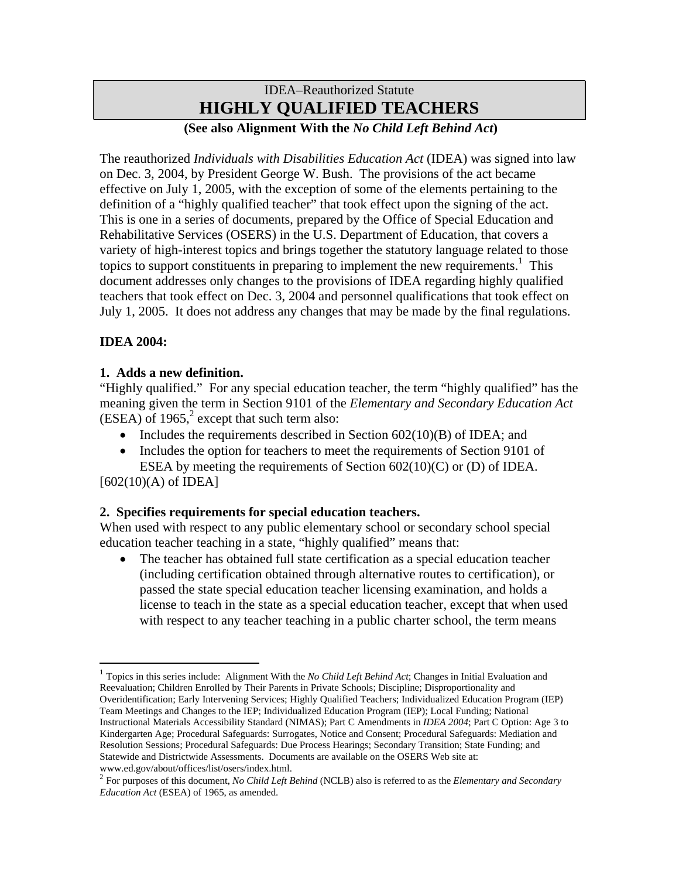# IDEA–Reauthorized Statute **HIGHLY QUALIFIED TEACHERS**

## **(See also Alignment With the** *No Child Left Behind Act***)**

The reauthorized *Individuals with Disabilities Education Act* (IDEA) was signed into law on Dec. 3, 2004, by President George W. Bush. The provisions of the act became effective on July 1, 2005, with the exception of some of the elements pertaining to the definition of a "highly qualified teacher" that took effect upon the signing of the act. This is one in a series of documents, prepared by the Office of Special Education and Rehabilitative Services (OSERS) in the U.S. Department of Education, that covers a variety of high-interest topics and brings together the statutory language related to those topics to support constituents in preparing to implement the new requirements. $<sup>1</sup>$  This</sup> document addresses only changes to the provisions of IDEA regarding highly qualified teachers that took effect on Dec. 3, 2004 and personnel qualifications that took effect on July 1, 2005. It does not address any changes that may be made by the final regulations.

#### **IDEA 2004:**

#### **1. Adds a new definition.**

"Highly qualified." For any special education teacher, the term "highly qualified" has the meaning given the term in Section 9101 of the *Elementary and Secondary Education Act*  $(ESEA)$  of 1965,<sup>2</sup> except that such term also:

- Includes the requirements described in Section  $602(10)(B)$  of IDEA; and
- Includes the option for teachers to meet the requirements of Section 9101 of ESEA by meeting the requirements of Section 602(10)(C) or (D) of IDEA.

 $[602(10)(A)$  of IDEA]

<u>.</u>

### **2. Specifies requirements for special education teachers.**

When used with respect to any public elementary school or secondary school special education teacher teaching in a state, "highly qualified" means that:

• The teacher has obtained full state certification as a special education teacher (including certification obtained through alternative routes to certification), or passed the state special education teacher licensing examination, and holds a license to teach in the state as a special education teacher, except that when used with respect to any teacher teaching in a public charter school, the term means

<span id="page-0-0"></span><sup>1</sup> Topics in this series include: Alignment With the *No Child Left Behind Act*; Changes in Initial Evaluation and Reevaluation; Children Enrolled by Their Parents in Private Schools; Discipline; Disproportionality and Overidentification; Early Intervening Services; Highly Qualified Teachers; Individualized Education Program (IEP) Team Meetings and Changes to the IEP; Individualized Education Program (IEP); Local Funding; National Instructional Materials Accessibility Standard (NIMAS); Part C Amendments in *IDEA 2004*; Part C Option: Age 3 to Kindergarten Age; Procedural Safeguards: Surrogates, Notice and Consent; Procedural Safeguards: Mediation and Resolution Sessions; Procedural Safeguards: Due Process Hearings; Secondary Transition; State Funding; and Statewide and Districtwide Assessments. Documents are available on the OSERS Web site at: www.ed.gov/about/offices/list/osers/index.html.

<span id="page-0-1"></span><sup>2</sup> For purposes of this document, *No Child Left Behind* (NCLB) also is referred to as the *Elementary and Secondary Education Act* (ESEA) of 1965, as amended.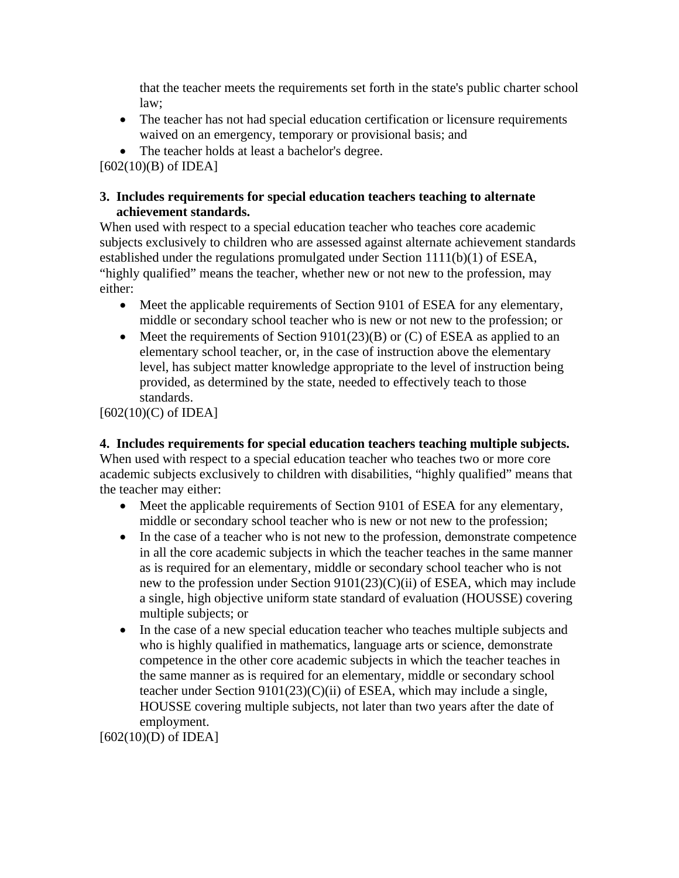that the teacher meets the requirements set forth in the state's public charter school law;

- The teacher has not had special education certification or licensure requirements waived on an emergency, temporary or provisional basis; and
- The teacher holds at least a bachelor's degree.

 $[602(10)(B)$  of IDEA]

#### **3. Includes requirements for special education teachers teaching to alternate achievement standards.**

When used with respect to a special education teacher who teaches core academic subjects exclusively to children who are assessed against alternate achievement standards established under the regulations promulgated under Section 1111(b)(1) of ESEA, "highly qualified" means the teacher, whether new or not new to the profession, may either:

- Meet the applicable requirements of Section 9101 of ESEA for any elementary, middle or secondary school teacher who is new or not new to the profession; or
- Meet the requirements of Section  $9101(23)(B)$  or (C) of ESEA as applied to an elementary school teacher, or, in the case of instruction above the elementary level, has subject matter knowledge appropriate to the level of instruction being provided, as determined by the state, needed to effectively teach to those standards.

[602(10)(C) of IDEA]

**4. Includes requirements for special education teachers teaching multiple subjects.**  When used with respect to a special education teacher who teaches two or more core academic subjects exclusively to children with disabilities, "highly qualified" means that the teacher may either:

- Meet the applicable requirements of Section 9101 of ESEA for any elementary, middle or secondary school teacher who is new or not new to the profession;
- In the case of a teacher who is not new to the profession, demonstrate competence in all the core academic subjects in which the teacher teaches in the same manner as is required for an elementary, middle or secondary school teacher who is not new to the profession under Section 9101(23)(C)(ii) of ESEA, which may include a single, high objective uniform state standard of evaluation (HOUSSE) covering multiple subjects; or
- In the case of a new special education teacher who teaches multiple subjects and who is highly qualified in mathematics, language arts or science, demonstrate competence in the other core academic subjects in which the teacher teaches in the same manner as is required for an elementary, middle or secondary school teacher under Section 9101(23)(C)(ii) of ESEA, which may include a single, HOUSSE covering multiple subjects, not later than two years after the date of employment.

[602(10)(D) of IDEA]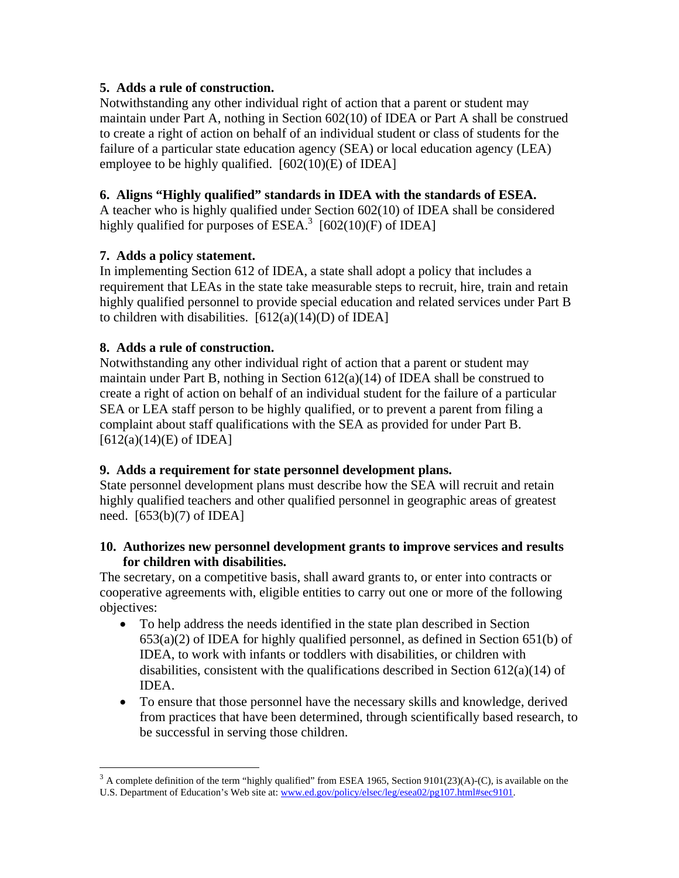## **5. Adds a rule of construction.**

Notwithstanding any other individual right of action that a parent or student may maintain under Part A, nothing in Section 602(10) of IDEA or Part A shall be construed to create a right of action on behalf of an individual student or class of students for the failure of a particular state education agency (SEA) or local education agency (LEA) employee to be highly qualified. [602(10)(E) of IDEA]

# **6. Aligns "Highly qualified" standards in IDEA with the standards of ESEA.**

A teacher who is highly qualified under Section 602(10) of IDEA shall be considered highly qualified for purposes of  $ESEA$ <sup>3</sup> [602(10)(F) of IDEA]

## **7. Adds a policy statement.**

In implementing Section 612 of IDEA, a state shall adopt a policy that includes a requirement that LEAs in the state take measurable steps to recruit, hire, train and retain highly qualified personnel to provide special education and related services under Part B to children with disabilities.  $[612(a)(14)(D)$  of IDEA]

## **8. Adds a rule of construction.**

 $\overline{a}$ 

Notwithstanding any other individual right of action that a parent or student may maintain under Part B, nothing in Section 612(a)(14) of IDEA shall be construed to create a right of action on behalf of an individual student for the failure of a particular SEA or LEA staff person to be highly qualified, or to prevent a parent from filing a complaint about staff qualifications with the SEA as provided for under Part B.  $[612(a)(14)(E)$  of IDEA]

### **9. Adds a requirement for state personnel development plans.**

State personnel development plans must describe how the SEA will recruit and retain highly qualified teachers and other qualified personnel in geographic areas of greatest need. [653(b)(7) of IDEA]

#### **10. Authorizes new personnel development grants to improve services and results for children with disabilities.**

The secretary, on a competitive basis, shall award grants to, or enter into contracts or cooperative agreements with, eligible entities to carry out one or more of the following objectives:

- To help address the needs identified in the state plan described in Section 653(a)(2) of IDEA for highly qualified personnel, as defined in Section 651(b) of IDEA, to work with infants or toddlers with disabilities, or children with disabilities, consistent with the qualifications described in Section 612(a)(14) of IDEA.
- To ensure that those personnel have the necessary skills and knowledge, derived from practices that have been determined, through scientifically based research, to be successful in serving those children.

<span id="page-2-0"></span> $3$  A complete definition of the term "highly qualified" from ESEA 1965, Section 9101(23)(A)-(C), is available on the U.S. Department of Education's Web site at: www.ed.gov/policy/elsec/leg/esea02/pg107.html#sec9101.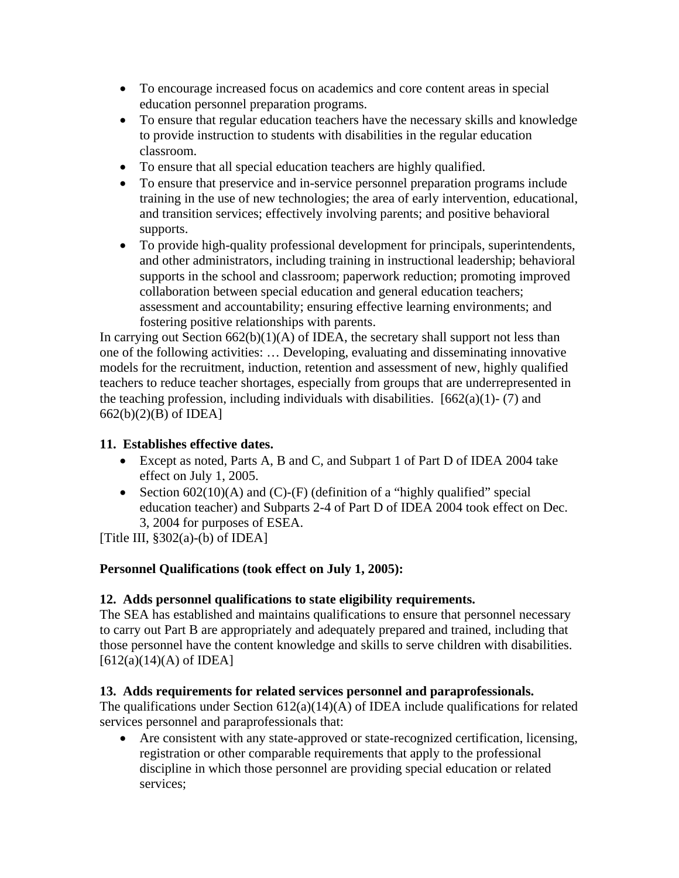- To encourage increased focus on academics and core content areas in special education personnel preparation programs.
- To ensure that regular education teachers have the necessary skills and knowledge to provide instruction to students with disabilities in the regular education classroom.
- To ensure that all special education teachers are highly qualified.
- To ensure that preservice and in-service personnel preparation programs include training in the use of new technologies; the area of early intervention, educational, and transition services; effectively involving parents; and positive behavioral supports.
- To provide high-quality professional development for principals, superintendents, and other administrators, including training in instructional leadership; behavioral supports in the school and classroom; paperwork reduction; promoting improved collaboration between special education and general education teachers; assessment and accountability; ensuring effective learning environments; and fostering positive relationships with parents.

In carrying out Section  $662(b)(1)(A)$  of IDEA, the secretary shall support not less than one of the following activities: … Developing, evaluating and disseminating innovative models for the recruitment, induction, retention and assessment of new, highly qualified teachers to reduce teacher shortages, especially from groups that are underrepresented in the teaching profession, including individuals with disabilities.  $[662(a)(1) - (7)$  and 662(b)(2)(B) of IDEA]

# **11. Establishes effective dates.**

- Except as noted, Parts A, B and C, and Subpart 1 of Part D of IDEA 2004 take effect on July 1, 2005.
- Section  $602(10)(A)$  and  $(C)-(F)$  (definition of a "highly qualified" special education teacher) and Subparts 2-4 of Part D of IDEA 2004 took effect on Dec. 3, 2004 for purposes of ESEA.

[Title III,  $§302(a)-(b)$  of IDEA]

# **Personnel Qualifications (took effect on July 1, 2005):**

### **12. Adds personnel qualifications to state eligibility requirements.**

The SEA has established and maintains qualifications to ensure that personnel necessary to carry out Part B are appropriately and adequately prepared and trained, including that those personnel have the content knowledge and skills to serve children with disabilities.  $[612(a)(14)(A)$  of IDEA]

# **13. Adds requirements for related services personnel and paraprofessionals.**

The qualifications under Section  $612(a)(14)(A)$  of IDEA include qualifications for related services personnel and paraprofessionals that:

• Are consistent with any state-approved or state-recognized certification, licensing, registration or other comparable requirements that apply to the professional discipline in which those personnel are providing special education or related services;